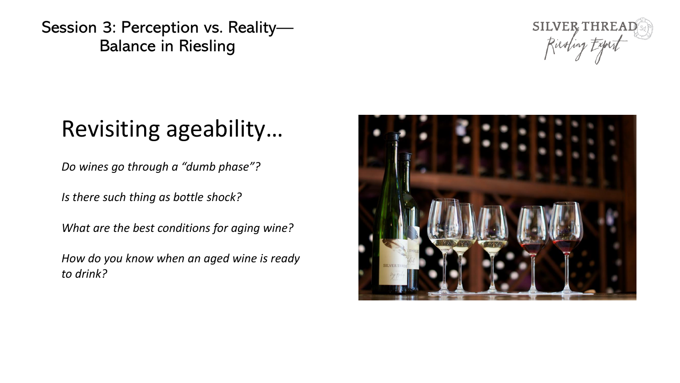

### Revisiting ageability…

*Do wines go through a "dumb phase"?*

*Is there such thing as bottle shock?*

*What are the best conditions for aging wine?*

*How do you know when an aged wine is ready to drink?*

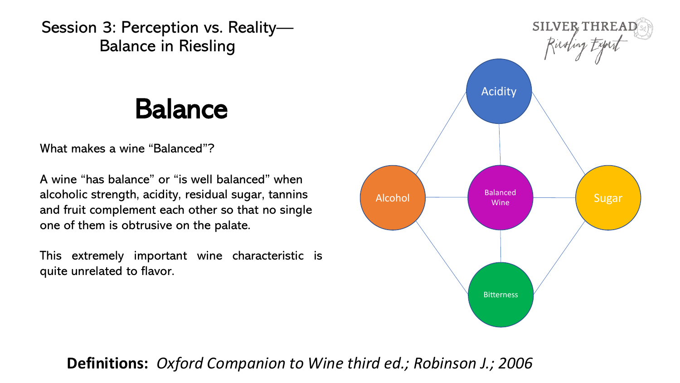### Balance

What makes a wine "Balanced"?

A wine "has balance" or "is well balanced" when alcoholic strength, acidity, residual sugar, tannins and fruit complement each other so that no single one of them is obtrusive on the palate.

This extremely important wine characteristic is quite unrelated to flavor.



#### **Definitions:** *Oxford Companion to Wine third ed.; Robinson J.; 2006*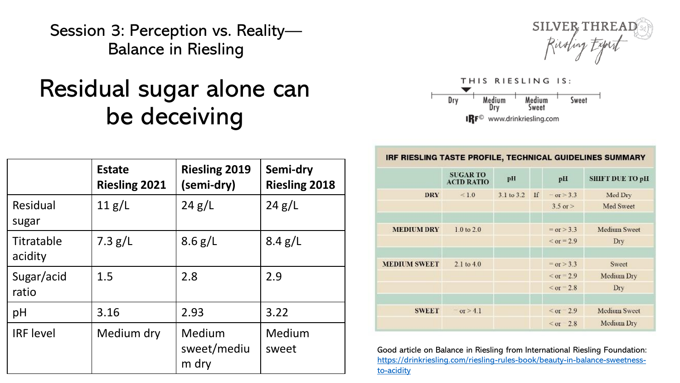#### Residual sugar alone can be deceiving





|                       | <b>Estate</b><br><b>Riesling 2021</b> | <b>Riesling 2019</b><br>(semi-dry) | Semi-dry<br><b>Riesling 2018</b> |
|-----------------------|---------------------------------------|------------------------------------|----------------------------------|
| Residual<br>sugar     | 11 g/L                                | 24 g/L                             | 24 g/L                           |
| Titratable<br>acidity | $7.3$ g/L                             | 8.6 g/L                            | 8.4 g/L                          |
| Sugar/acid<br>ratio   | 1.5                                   | 2.8                                | 2.9                              |
| pH                    | 3.16                                  | 2.93                               | 3.22                             |
| <b>IRF</b> level      | Medium dry                            | Medium<br>sweet/mediu<br>m dry     | Medium<br>sweet                  |

| <b>IRF RIESLING TASTE PROFILE, TECHNICAL GUIDELINES SUMMARY</b> |  |  |
|-----------------------------------------------------------------|--|--|
|                                                                 |  |  |

|                     | <b>SUGAR TO</b><br><b>ACID RATIO</b> | pH         |    | pII              | <b>SHIFT DUE TO pH</b> |
|---------------------|--------------------------------------|------------|----|------------------|------------------------|
| <b>DRY</b>          | < 1.0                                | 3.1 to 3.2 | If | $= or > 3.3$     | Med Dry                |
|                     |                                      |            |    | $3.5$ or $>$     | Med Sweet              |
|                     |                                      |            |    |                  |                        |
| <b>MEDIUM DRY</b>   | $1.0$ to $2.0$                       |            |    | $=$ or $>$ 3.3   | <b>Medium Sweet</b>    |
|                     |                                      |            |    | $\le$ or = 2.9   | Dry                    |
|                     |                                      |            |    |                  |                        |
| <b>MEDIUM SWEET</b> | $2.1$ to $4.0$                       |            |    | $=$ or $>$ 3.3   | Sweet                  |
|                     |                                      |            |    | $\le$ or = 2.9   | Medium Dry             |
|                     |                                      |            |    | $\le$ or = 2.8   | Dry                    |
|                     |                                      |            |    |                  |                        |
| <b>SWEET</b>        | or $> 4.1$                           |            |    | $\le$ or $= 2.9$ | <b>Medium Sweet</b>    |
|                     |                                      |            |    | $\leq$ or 2.8    | Medium Dry             |

Good article on Balance in Riesling from International Riesling Foundation: [https://drinkriesling.com/riesling-rules-book/beauty-in-balance-sweetness](https://drinkriesling.com/riesling-rules-book/beauty-in-balance-sweetness-to-acidity)to-acidity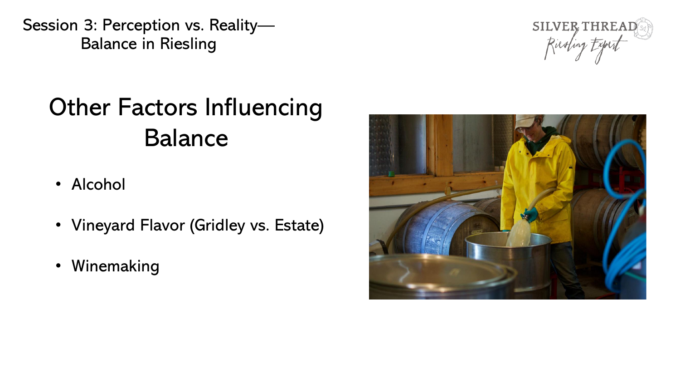

## Other Factors Influencing Balance

- Alcohol
- Vineyard Flavor (Gridley vs. Estate)
- Winemaking

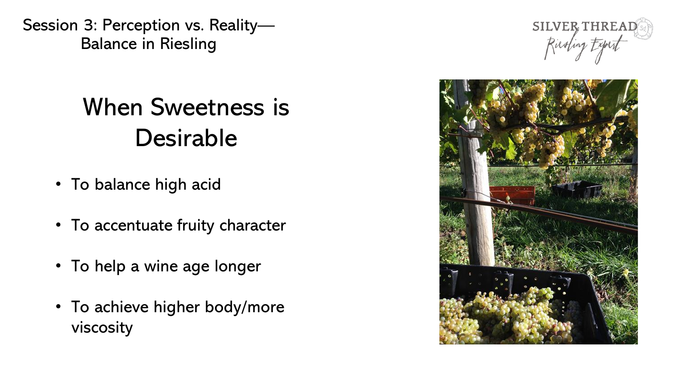## When Sweetness is Desirable

- To balance high acid
- To accentuate fruity character
- To help a wine age longer
- To achieve higher body/more viscosity



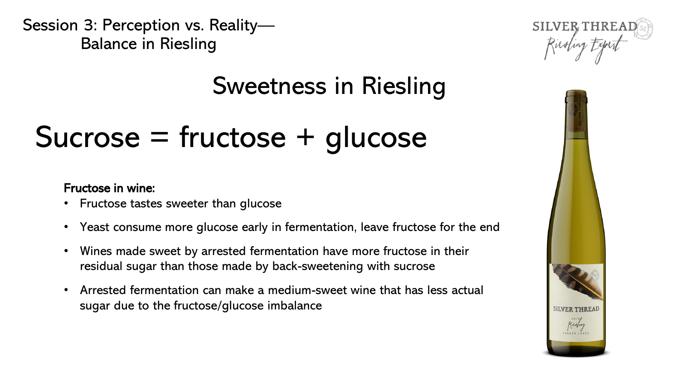### Sweetness in Riesling

## Sucrose = fructose + glucose

#### Fructose in wine:

- Fructose tastes sweeter than glucose
- Yeast consume more glucose early in fermentation, leave fructose for the end
- Wines made sweet by arrested fermentation have more fructose in their residual sugar than those made by back-sweetening with sucrose
- Arrested fermentation can make a medium-sweet wine that has less actual sugar due to the fructose/glucose imbalance



SILVER THREAD

Ricolin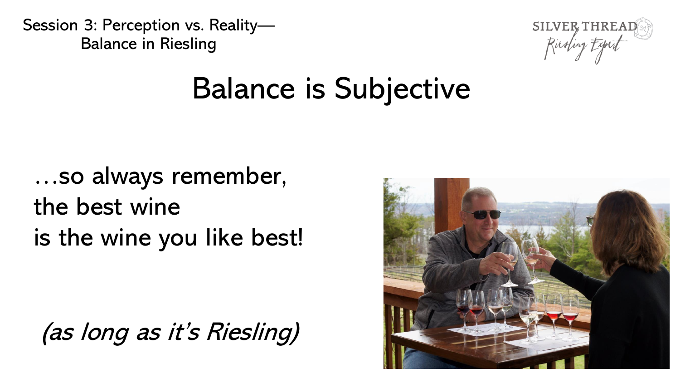

# Balance is Subjective

…so always remember, the best wine is the wine you like best!

(as long as it's Riesling)